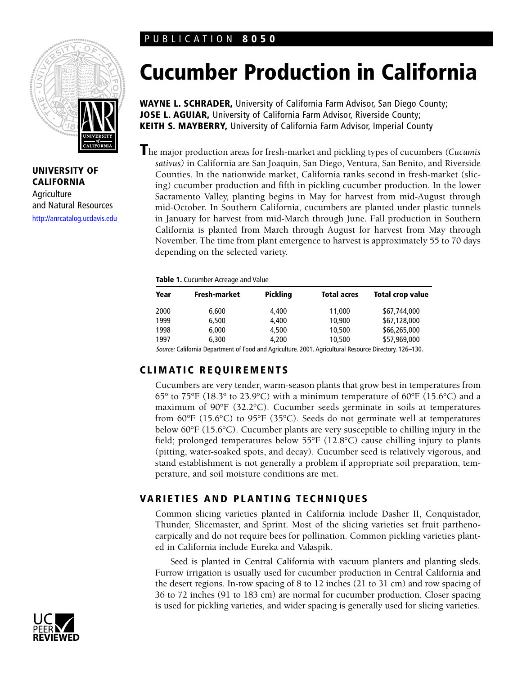# PUBLICATION **8050**



**UNIVERSITY OF CALIFORNIA Agriculture** and Natural Resources <http://anrcatalog.ucdavis.edu>

# **Cucumber Production in California**

**WAYNE L. SCHRADER,** University of California Farm Advisor, San Diego County; **JOSE L. AGUIAR, University of California Farm Advisor, Riverside County; KEITH S. MAYBERRY,** University of California Farm Advisor, Imperial County

**T**he major production areas for fresh-market and pickling types of cucumbers *(Cucumis sativus)* in California are San Joaquin, San Diego, Ventura, San Benito, and Riverside Counties. In the nationwide market, California ranks second in fresh-market (slicing) cucumber production and fifth in pickling cucumber production. In the lower Sacramento Valley, planting begins in May for harvest from mid-August through mid-October. In Southern California, cucumbers are planted under plastic tunnels in January for harvest from mid-March through June. Fall production in Southern California is planted from March through August for harvest from May through November. The time from plant emergence to harvest is approximately 55 to 70 days depending on the selected variety.

#### **Table 1.** Cucumber Acreage and Value

| Year | Fresh-market                                                                                         | <b>Pickling</b> | <b>Total acres</b> | <b>Total crop value</b> |
|------|------------------------------------------------------------------------------------------------------|-----------------|--------------------|-------------------------|
| 2000 | 6,600                                                                                                | 4.400           | 11,000             | \$67,744,000            |
| 1999 | 6,500                                                                                                | 4.400           | 10,900             | \$67,128,000            |
| 1998 | 6.000                                                                                                | 4,500           | 10,500             | \$66,265,000            |
| 1997 | 6.300                                                                                                | 4,200           | 10,500             | \$57,969,000            |
|      | Connect Collisionic December on of Food and Analysis in 1994. Analysis in December Discovery 190-199 |                 |                    |                         |

Source: California Department of Food and Agriculture. 2001. Agricultural Resource Directory. 126–130.

# **CLIMATIC REQUIREMENTS**

Cucumbers are very tender, warm-season plants that grow best in temperatures from 65° to 75°F (18.3° to 23.9°C) with a minimum temperature of 60°F (15.6°C) and a maximum of 90°F (32.2°C). Cucumber seeds germinate in soils at temperatures from 60°F (15.6°C) to 95°F (35°C). Seeds do not germinate well at temperatures below 60°F (15.6°C). Cucumber plants are very susceptible to chilling injury in the field; prolonged temperatures below 55°F (12.8°C) cause chilling injury to plants (pitting, water-soaked spots, and decay). Cucumber seed is relatively vigorous, and stand establishment is not generally a problem if appropriate soil preparation, temperature, and soil moisture conditions are met.

# **VARIETIES AND PLANTING TECHNIQUES**

Common slicing varieties planted in California include Dasher II, Conquistador, Thunder, Slicemaster, and Sprint. Most of the slicing varieties set fruit parthenocarpically and do not require bees for pollination. Common pickling varieties planted in California include Eureka and Valaspik.

Seed is planted in Central California with vacuum planters and planting sleds. Furrow irrigation is usually used for cucumber production in Central California and the desert regions. In-row spacing of 8 to 12 inches (21 to 31 cm) and row spacing of 36 to 72 inches (91 to 183 cm) are normal for cucumber production. Closer spacing is used for pickling varieties, and wider spacing is generally used for slicing varieties.

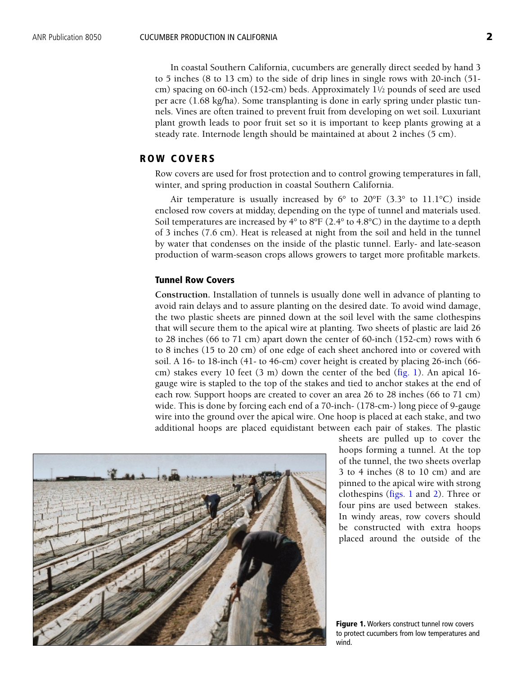In coastal Southern California, cucumbers are generally direct seeded by hand 3 to 5 inches (8 to 13 cm) to the side of drip lines in single rows with 20-inch (51 cm) spacing on 60-inch (152-cm) beds. Approximately 11⁄2 pounds of seed are used per acre (1.68 kg/ha). Some transplanting is done in early spring under plastic tunnels. Vines are often trained to prevent fruit from developing on wet soil. Luxuriant plant growth leads to poor fruit set so it is important to keep plants growing at a steady rate. Internode length should be maintained at about 2 inches (5 cm).

## **ROW COVERS**

Row covers are used for frost protection and to control growing temperatures in fall, winter, and spring production in coastal Southern California.

Air temperature is usually increased by  $6^{\circ}$  to  $20^{\circ}F$  (3.3° to 11.1°C) inside enclosed row covers at midday, depending on the type of tunnel and materials used. Soil temperatures are increased by  $4^{\circ}$  to  $8^{\circ}F(2.4^{\circ}$  to  $4.8^{\circ}C)$  in the daytime to a depth of 3 inches (7.6 cm). Heat is released at night from the soil and held in the tunnel by water that condenses on the inside of the plastic tunnel. Early- and late-season production of warm-season crops allows growers to target more profitable markets.

#### **Tunnel Row Covers**

**Construction.** Installation of tunnels is usually done well in advance of planting to avoid rain delays and to assure planting on the desired date. To avoid wind damage, the two plastic sheets are pinned down at the soil level with the same clothespins that will secure them to the apical wire at planting. Two sheets of plastic are laid 26 to 28 inches (66 to 71 cm) apart down the center of 60-inch (152-cm) rows with 6 to 8 inches (15 to 20 cm) of one edge of each sheet anchored into or covered with soil. A 16- to 18-inch (41- to 46-cm) cover height is created by placing 26-inch (66 cm) stakes every 10 feet  $(3 \text{ m})$  down the center of the bed  $(\text{fig. 1})$ . An apical 16gauge wire is stapled to the top of the stakes and tied to anchor stakes at the end of each row. Support hoops are created to cover an area 26 to 28 inches (66 to 71 cm) wide. This is done by forcing each end of a 70-inch- (178-cm-) long piece of 9-gauge wire into the ground over the apical wire. One hoop is placed at each stake, and two additional hoops are placed equidistant between each pair of stakes. The plastic



sheets are pulled up to cover the hoops forming a tunnel. At the top of the tunnel, the two sheets overlap 3 to 4 inches (8 to 10 cm) and are pinned to the apical wire with strong clothespins (figs. 1 an[d 2\)](#page-2-0). Three or four pins are used between stakes. In windy areas, row covers should be constructed with extra hoops placed around the outside of the

**Figure 1.** Workers construct tunnel row covers to protect cucumbers from low temperatures and wind.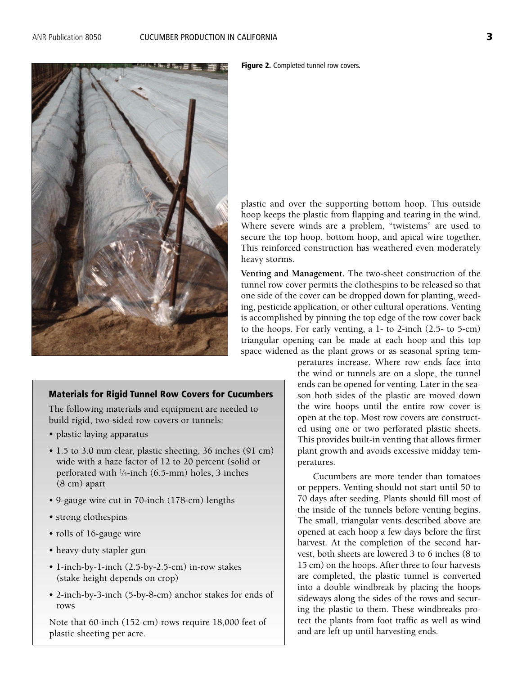<span id="page-2-0"></span>

## **Materials for Rigid Tunnel Row Covers for Cucumbers**

The following materials and equipment are needed to build rigid, two-sided row covers or tunnels:

- plastic laying apparatus
- 1.5 to 3.0 mm clear, plastic sheeting, 36 inches (91 cm) wide with a haze factor of 12 to 20 percent (solid or perforated with 1⁄4-inch (6.5-mm) holes, 3 inches (8 cm) apart
- 9-gauge wire cut in 70-inch (178-cm) lengths
- strong clothespins
- rolls of 16-gauge wire
- heavy-duty stapler gun
- 1-inch-by-1-inch (2.5-by-2.5-cm) in-row stakes (stake height depends on crop)
- 2-inch-by-3-inch (5-by-8-cm) anchor stakes for ends of rows

Note that 60-inch (152-cm) rows require 18,000 feet of plastic sheeting per acre.

**Figure 2.** Completed tunnel row covers.

plastic and over the supporting bottom hoop. This outside hoop keeps the plastic from flapping and tearing in the wind. Where severe winds are a problem, "twistems" are used to secure the top hoop, bottom hoop, and apical wire together. This reinforced construction has weathered even moderately heavy storms.

**Venting and Management.** The two-sheet construction of the tunnel row cover permits the clothespins to be released so that one side of the cover can be dropped down for planting, weeding, pesticide application, or other cultural operations. Venting is accomplished by pinning the top edge of the row cover back to the hoops. For early venting, a 1- to 2-inch (2.5- to 5-cm) triangular opening can be made at each hoop and this top space widened as the plant grows or as seasonal spring tem-

peratures increase. Where row ends face into the wind or tunnels are on a slope, the tunnel ends can be opened for venting. Later in the season both sides of the plastic are moved down the wire hoops until the entire row cover is open at the top. Most row covers are constructed using one or two perforated plastic sheets. This provides built-in venting that allows firmer plant growth and avoids excessive midday temperatures.

Cucumbers are more tender than tomatoes or peppers. Venting should not start until 50 to 70 days after seeding. Plants should fill most of the inside of the tunnels before venting begins. The small, triangular vents described above are opened at each hoop a few days before the first harvest. At the completion of the second harvest, both sheets are lowered 3 to 6 inches (8 to 15 cm) on the hoops. After three to four harvests are completed, the plastic tunnel is converted into a double windbreak by placing the hoops sideways along the sides of the rows and securing the plastic to them. These windbreaks protect the plants from foot traffic as well as wind and are left up until harvesting ends.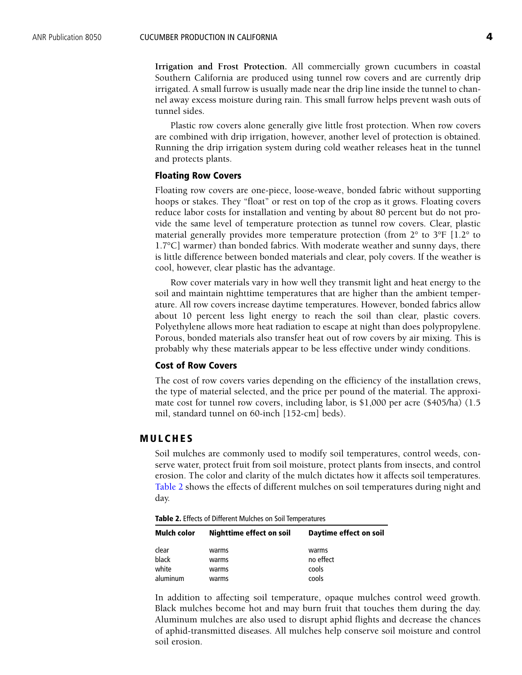**Irrigation and Frost Protection.** All commercially grown cucumbers in coastal Southern California are produced using tunnel row covers and are currently drip irrigated. A small furrow is usually made near the drip line inside the tunnel to channel away excess moisture during rain. This small furrow helps prevent wash outs of tunnel sides.

Plastic row covers alone generally give little frost protection. When row covers are combined with drip irrigation, however, another level of protection is obtained. Running the drip irrigation system during cold weather releases heat in the tunnel and protects plants.

#### **Floating Row Covers**

Floating row covers are one-piece, loose-weave, bonded fabric without supporting hoops or stakes. They "float" or rest on top of the crop as it grows. Floating covers reduce labor costs for installation and venting by about 80 percent but do not provide the same level of temperature protection as tunnel row covers. Clear, plastic material generally provides more temperature protection (from 2° to 3°F [1.2° to 1.7°C] warmer) than bonded fabrics. With moderate weather and sunny days, there is little difference between bonded materials and clear, poly covers. If the weather is cool, however, clear plastic has the advantage.

Row cover materials vary in how well they transmit light and heat energy to the soil and maintain nighttime temperatures that are higher than the ambient temperature. All row covers increase daytime temperatures. However, bonded fabrics allow about 10 percent less light energy to reach the soil than clear, plastic covers. Polyethylene allows more heat radiation to escape at night than does polypropylene. Porous, bonded materials also transfer heat out of row covers by air mixing. This is probably why these materials appear to be less effective under windy conditions.

#### **Cost of Row Covers**

The cost of row covers varies depending on the efficiency of the installation crews, the type of material selected, and the price per pound of the material. The approximate cost for tunnel row covers, including labor, is \$1,000 per acre (\$405/ha) (1.5 mil, standard tunnel on 60-inch [152-cm] beds).

#### **MULCHES**

Soil mulches are commonly used to modify soil temperatures, control weeds, conserve water, protect fruit from soil moisture, protect plants from insects, and control erosion. The color and clarity of the mulch dictates how it affects soil temperatures. Table 2 shows the effects of different mulches on soil temperatures during night and day.

**Table 2.** Effects of Different Mulches on Soil Temperatures

| Mulch color | <b>Nighttime effect on soil</b> | Daytime effect on soil |
|-------------|---------------------------------|------------------------|
| clear       | warms                           | warms                  |
| black       | warms                           | no effect              |
| white       | warms                           | cools                  |
| aluminum    | warms                           | cools                  |

In addition to affecting soil temperature, opaque mulches control weed growth. Black mulches become hot and may burn fruit that touches them during the day. Aluminum mulches are also used to disrupt aphid flights and decrease the chances of aphid-transmitted diseases. All mulches help conserve soil moisture and control soil erosion.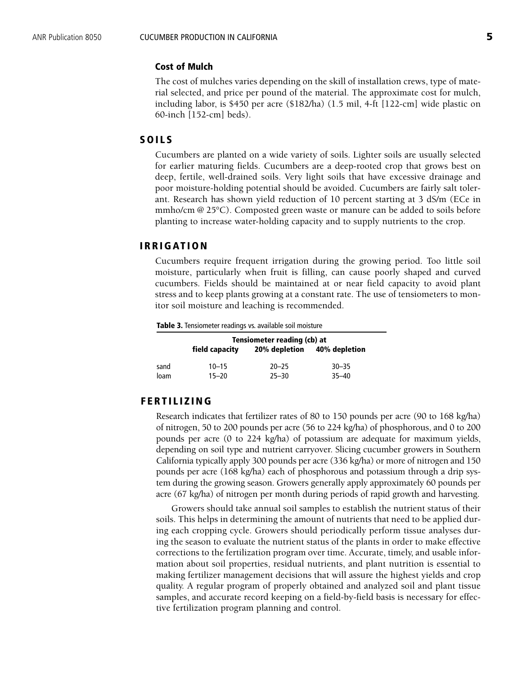#### **Cost of Mulch**

The cost of mulches varies depending on the skill of installation crews, type of material selected, and price per pound of the material. The approximate cost for mulch, including labor, is \$450 per acre (\$182/ha) (1.5 mil, 4-ft [122-cm] wide plastic on 60-inch [152-cm] beds).

## **SOILS**

Cucumbers are planted on a wide variety of soils. Lighter soils are usually selected for earlier maturing fields. Cucumbers are a deep-rooted crop that grows best on deep, fertile, well-drained soils. Very light soils that have excessive drainage and poor moisture-holding potential should be avoided. Cucumbers are fairly salt tolerant. Research has shown yield reduction of 10 percent starting at 3 dS/m (ECe in mmho/cm @ 25°C). Composted green waste or manure can be added to soils before planting to increase water-holding capacity and to supply nutrients to the crop.

## **IRRIGATION**

Cucumbers require frequent irrigation during the growing period. Too little soil moisture, particularly when fruit is filling, can cause poorly shaped and curved cucumbers. Fields should be maintained at or near field capacity to avoid plant stress and to keep plants growing at a constant rate. The use of tensiometers to monitor soil moisture and leaching is recommended.

**Table 3.** Tensiometer readings vs. available soil moisture

|      | Tensiometer reading (cb) at |               |               |  |  |
|------|-----------------------------|---------------|---------------|--|--|
|      | field capacity              | 20% depletion | 40% depletion |  |  |
| sand | $10 - 15$                   | $20 - 25$     | $30 - 35$     |  |  |
| loam | $15 - 20$                   | $25 - 30$     | $35 - 40$     |  |  |

#### **FERTILIZING**

Research indicates that fertilizer rates of 80 to 150 pounds per acre (90 to 168 kg/ha) of nitrogen, 50 to 200 pounds per acre (56 to 224 kg/ha) of phosphorous, and 0 to 200 pounds per acre (0 to 224 kg/ha) of potassium are adequate for maximum yields, depending on soil type and nutrient carryover. Slicing cucumber growers in Southern California typically apply 300 pounds per acre (336 kg/ha) or more of nitrogen and 150 pounds per acre (168 kg/ha) each of phosphorous and potassium through a drip system during the growing season. Growers generally apply approximately 60 pounds per acre (67 kg/ha) of nitrogen per month during periods of rapid growth and harvesting.

Growers should take annual soil samples to establish the nutrient status of their soils. This helps in determining the amount of nutrients that need to be applied during each cropping cycle. Growers should periodically perform tissue analyses during the season to evaluate the nutrient status of the plants in order to make effective corrections to the fertilization program over time. Accurate, timely, and usable information about soil properties, residual nutrients, and plant nutrition is essential to making fertilizer management decisions that will assure the highest yields and crop quality. A regular program of properly obtained and analyzed soil and plant tissue samples, and accurate record keeping on a field-by-field basis is necessary for effective fertilization program planning and control.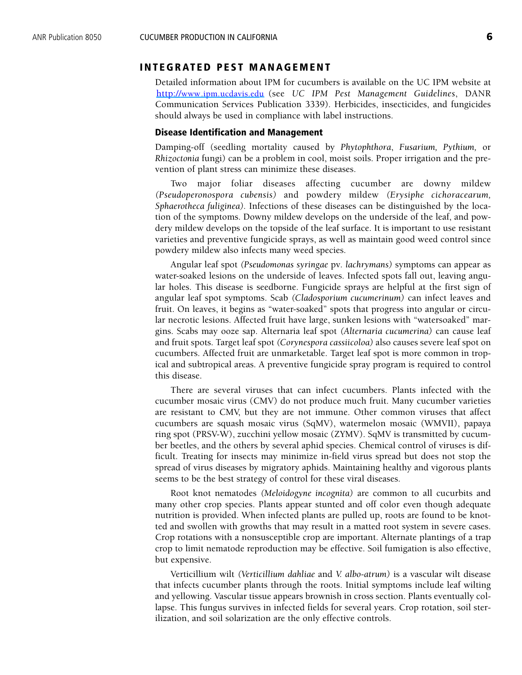# **INTEGRATED PEST MANAGEMENT**

Detailed information about IPM for cucumbers is available on the UC IPM website at <http://www.ipm.ucdavis.edu> (see *UC IPM Pest Management Guidelines*, DANR Communication Services Publication 3339). Herbicides, insecticides, and fungicides should always be used in compliance with label instructions.

#### **Disease Identification and Management**

Damping-off (seedling mortality caused by *Phytophthora*, *Fusarium, Pythium,* or *Rhizoctonia* fungi) can be a problem in cool, moist soils. Proper irrigation and the prevention of plant stress can minimize these diseases.

Two major foliar diseases affecting cucumber are downy mildew *(Pseudoperonospora cubensis)* and powdery mildew *(Erysiphe cichoracearum, Sphaerotheca fuliginea).* Infections of these diseases can be distinguished by the location of the symptoms. Downy mildew develops on the underside of the leaf, and powdery mildew develops on the topside of the leaf surface. It is important to use resistant varieties and preventive fungicide sprays, as well as maintain good weed control since powdery mildew also infects many weed species.

Angular leaf spot *(Pseudomonas syringae* pv*. lachrymans)* symptoms can appear as water-soaked lesions on the underside of leaves. Infected spots fall out, leaving angular holes. This disease is seedborne. Fungicide sprays are helpful at the first sign of angular leaf spot symptoms. Scab *(Cladosporium cucumerinum)* can infect leaves and fruit. On leaves, it begins as "water-soaked" spots that progress into angular or circular necrotic lesions. Affected fruit have large, sunken lesions with "watersoaked" margins. Scabs may ooze sap. Alternaria leaf spot *(Alternaria cucumerina)* can cause leaf and fruit spots. Target leaf spot *(Corynespora cassiicoloa)* also causes severe leaf spot on cucumbers. Affected fruit are unmarketable. Target leaf spot is more common in tropical and subtropical areas. A preventive fungicide spray program is required to control this disease.

There are several viruses that can infect cucumbers. Plants infected with the cucumber mosaic virus (CMV) do not produce much fruit. Many cucumber varieties are resistant to CMV, but they are not immune. Other common viruses that affect cucumbers are squash mosaic virus (SqMV), watermelon mosaic (WMVII), papaya ring spot (PRSV-W), zucchini yellow mosaic (ZYMV). SqMV is transmitted by cucumber beetles, and the others by several aphid species. Chemical control of viruses is difficult. Treating for insects may minimize in-field virus spread but does not stop the spread of virus diseases by migratory aphids. Maintaining healthy and vigorous plants seems to be the best strategy of control for these viral diseases.

Root knot nematodes *(Meloidogyne incognita)* are common to all cucurbits and many other crop species. Plants appear stunted and off color even though adequate nutrition is provided. When infected plants are pulled up, roots are found to be knotted and swollen with growths that may result in a matted root system in severe cases. Crop rotations with a nonsusceptible crop are important. Alternate plantings of a trap crop to limit nematode reproduction may be effective. Soil fumigation is also effective, but expensive.

Verticillium wilt *(Verticillium dahliae* and *V. albo-atrum)* is a vascular wilt disease that infects cucumber plants through the roots. Initial symptoms include leaf wilting and yellowing. Vascular tissue appears brownish in cross section. Plants eventually collapse. This fungus survives in infected fields for several years. Crop rotation, soil sterilization, and soil solarization are the only effective controls.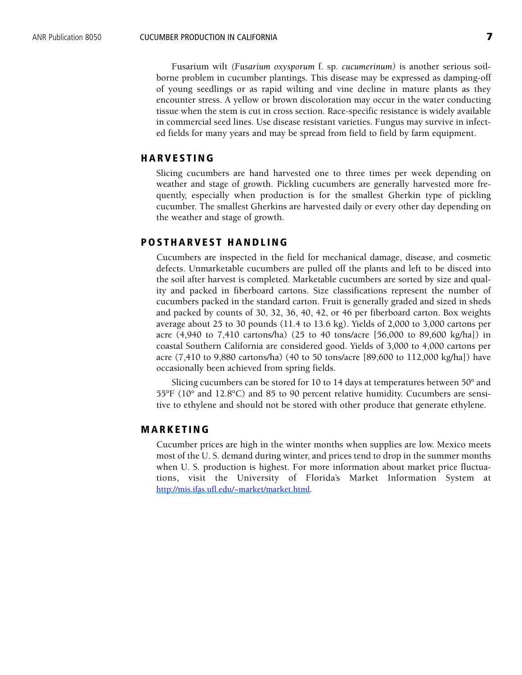Fusarium wilt *(Fusarium oxysporum* f. sp. *cucumerinum)* is another serious soilborne problem in cucumber plantings. This disease may be expressed as damping-off of young seedlings or as rapid wilting and vine decline in mature plants as they encounter stress. A yellow or brown discoloration may occur in the water conducting tissue when the stem is cut in cross section. Race-specific resistance is widely available in commercial seed lines. Use disease resistant varieties. Fungus may survive in infected fields for many years and may be spread from field to field by farm equipment.

## **HARVESTING**

Slicing cucumbers are hand harvested one to three times per week depending on weather and stage of growth. Pickling cucumbers are generally harvested more frequently, especially when production is for the smallest Gherkin type of pickling cucumber. The smallest Gherkins are harvested daily or every other day depending on the weather and stage of growth.

## **POSTHARVEST HANDLING**

Cucumbers are inspected in the field for mechanical damage, disease, and cosmetic defects. Unmarketable cucumbers are pulled off the plants and left to be disced into the soil after harvest is completed. Marketable cucumbers are sorted by size and quality and packed in fiberboard cartons. Size classifications represent the number of cucumbers packed in the standard carton. Fruit is generally graded and sized in sheds and packed by counts of 30, 32, 36, 40, 42, or 46 per fiberboard carton. Box weights average about 25 to 30 pounds (11.4 to 13.6 kg). Yields of 2,000 to 3,000 cartons per acre (4,940 to 7,410 cartons/ha) (25 to 40 tons/acre [56,000 to 89,600 kg/ha]) in coastal Southern California are considered good. Yields of 3,000 to 4,000 cartons per acre (7,410 to 9,880 cartons/ha) (40 to 50 tons/acre [89,600 to 112,000 kg/ha]) have occasionally been achieved from spring fields.

Slicing cucumbers can be stored for 10 to 14 days at temperatures between 50° and 55°F (10° and 12.8°C) and 85 to 90 percent relative humidity. Cucumbers are sensitive to ethylene and should not be stored with other produce that generate ethylene.

#### **MARKETING**

Cucumber prices are high in the winter months when supplies are low. Mexico meets most of the U. S. demand during winter, and prices tend to drop in the summer months when U. S. production is highest. For more information about market price fluctuations, visit the University of Florida's Market Information System at [http://mis.ifas.ufl.edu/~market/market.html.](http://mis.ifas.ufl.edu/~market/market.html)